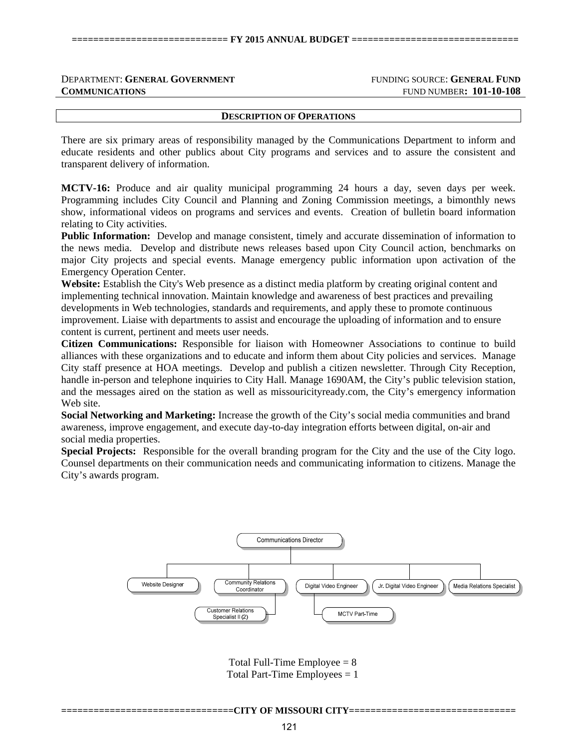### **============================= FY 2015 ANNUAL BUDGET ===============================**

**DEPARTMENT: GENERAL GOVERNMENT** FUNDING SOURCE: GENERAL FUND **COMMUNICATIONS FUND NUMBER: 101-10-108** 

**DESCRIPTION OF OPERATIONS**

There are six primary areas of responsibility managed by the Communications Department to inform and educate residents and other publics about City programs and services and to assure the consistent and transparent delivery of information.

**MCTV-16:** Produce and air quality municipal programming 24 hours a day, seven days per week. Programming includes City Council and Planning and Zoning Commission meetings, a bimonthly news show, informational videos on programs and services and events. Creation of bulletin board information relating to City activities.

**Public Information:** Develop and manage consistent, timely and accurate dissemination of information to the news media. Develop and distribute news releases based upon City Council action, benchmarks on major City projects and special events. Manage emergency public information upon activation of the Emergency Operation Center.

**Website:** Establish the City's Web presence as a distinct media platform by creating original content and implementing technical innovation. Maintain knowledge and awareness of best practices and prevailing developments in Web technologies, standards and requirements, and apply these to promote continuous improvement. Liaise with departments to assist and encourage the uploading of information and to ensure content is current, pertinent and meets user needs.

**Citizen Communications:** Responsible for liaison with Homeowner Associations to continue to build alliances with these organizations and to educate and inform them about City policies and services. Manage City staff presence at HOA meetings. Develop and publish a citizen newsletter. Through City Reception, handle in-person and telephone inquiries to City Hall. Manage 1690AM, the City's public television station, and the messages aired on the station as well as missouricityready.com, the City's emergency information Web site.

**Social Networking and Marketing:** Increase the growth of the City's social media communities and brand awareness, improve engagement, and execute day-to-day integration efforts between digital, on-air and social media properties.

**Special Projects:** Responsible for the overall branding program for the City and the use of the City logo. Counsel departments on their communication needs and communicating information to citizens. Manage the City's awards program.



Total Full-Time Employee  $= 8$ Total Part-Time Employees = 1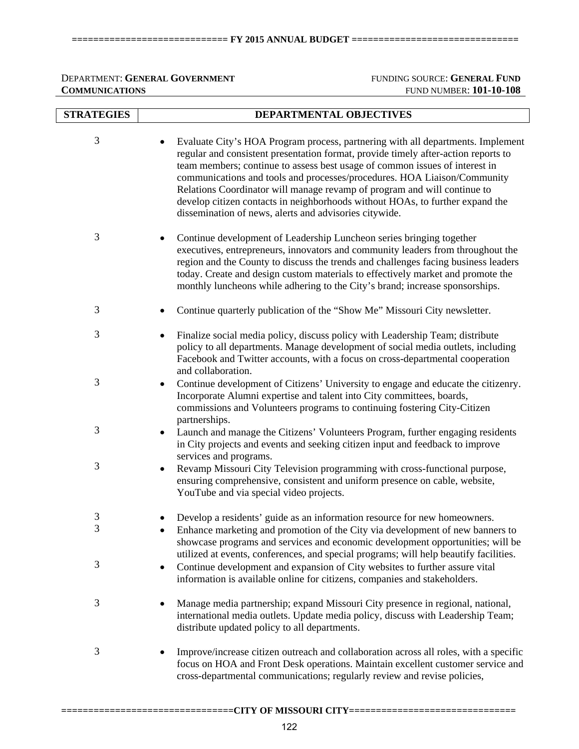### **============================= FY 2015 ANNUAL BUDGET ===============================**

### **DEPARTMENT: GENERAL GOVERNMENT** FUNDING SOURCE: GENERAL FUND **COMMUNICATIONS** FUND NUMBER: **101-10-108**

| <b>STRATEGIES</b> | DEPARTMENTAL OBJECTIVES                                                                                                                                                                                                                                                                                                                                                                                                                                                                                                                                 |
|-------------------|---------------------------------------------------------------------------------------------------------------------------------------------------------------------------------------------------------------------------------------------------------------------------------------------------------------------------------------------------------------------------------------------------------------------------------------------------------------------------------------------------------------------------------------------------------|
| 3                 | Evaluate City's HOA Program process, partnering with all departments. Implement<br>regular and consistent presentation format, provide timely after-action reports to<br>team members; continue to assess best usage of common issues of interest in<br>communications and tools and processes/procedures. HOA Liaison/Community<br>Relations Coordinator will manage revamp of program and will continue to<br>develop citizen contacts in neighborhoods without HOAs, to further expand the<br>dissemination of news, alerts and advisories citywide. |
| 3                 | Continue development of Leadership Luncheon series bringing together<br>$\bullet$<br>executives, entrepreneurs, innovators and community leaders from throughout the<br>region and the County to discuss the trends and challenges facing business leaders<br>today. Create and design custom materials to effectively market and promote the<br>monthly luncheons while adhering to the City's brand; increase sponsorships.                                                                                                                           |
| 3                 | Continue quarterly publication of the "Show Me" Missouri City newsletter.                                                                                                                                                                                                                                                                                                                                                                                                                                                                               |
| $\mathfrak{Z}$    | Finalize social media policy, discuss policy with Leadership Team; distribute<br>٠<br>policy to all departments. Manage development of social media outlets, including<br>Facebook and Twitter accounts, with a focus on cross-departmental cooperation<br>and collaboration.                                                                                                                                                                                                                                                                           |
| 3                 | Continue development of Citizens' University to engage and educate the citizenry.<br>$\bullet$<br>Incorporate Alumni expertise and talent into City committees, boards,<br>commissions and Volunteers programs to continuing fostering City-Citizen<br>partnerships.                                                                                                                                                                                                                                                                                    |
| 3                 | Launch and manage the Citizens' Volunteers Program, further engaging residents<br>$\bullet$<br>in City projects and events and seeking citizen input and feedback to improve<br>services and programs.                                                                                                                                                                                                                                                                                                                                                  |
| 3                 | Revamp Missouri City Television programming with cross-functional purpose,<br>ensuring comprehensive, consistent and uniform presence on cable, website,<br>YouTube and via special video projects.                                                                                                                                                                                                                                                                                                                                                     |
| 3                 | Develop a residents' guide as an information resource for new homeowners.                                                                                                                                                                                                                                                                                                                                                                                                                                                                               |
| 3                 | Enhance marketing and promotion of the City via development of new banners to<br>showcase programs and services and economic development opportunities; will be<br>utilized at events, conferences, and special programs; will help beautify facilities.                                                                                                                                                                                                                                                                                                |
| 3                 | Continue development and expansion of City websites to further assure vital<br>$\bullet$<br>information is available online for citizens, companies and stakeholders.                                                                                                                                                                                                                                                                                                                                                                                   |
| 3                 | Manage media partnership; expand Missouri City presence in regional, national,<br>international media outlets. Update media policy, discuss with Leadership Team;<br>distribute updated policy to all departments.                                                                                                                                                                                                                                                                                                                                      |
| 3                 | Improve/increase citizen outreach and collaboration across all roles, with a specific<br>٠<br>focus on HOA and Front Desk operations. Maintain excellent customer service and<br>cross-departmental communications; regularly review and revise policies,                                                                                                                                                                                                                                                                                               |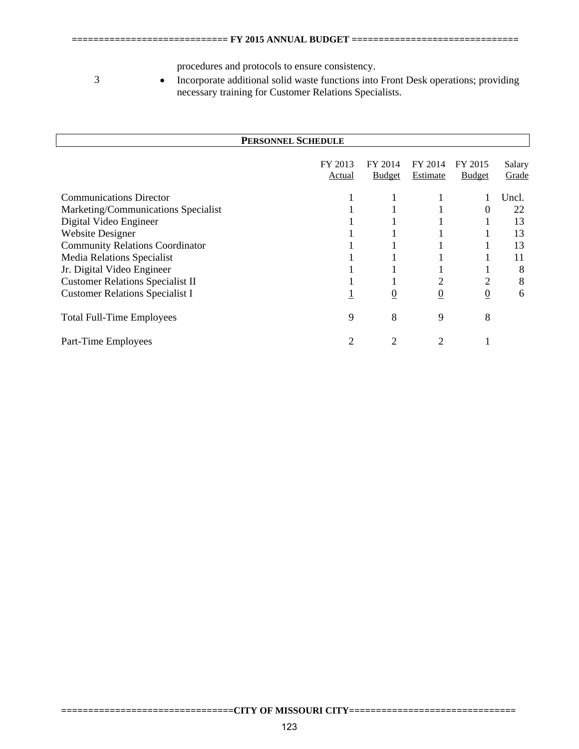### $=$  FY 2015 ANNUAL BUDGET  $==$

procedures and protocols to ensure consistency.

3 Incorporate additional solid waste functions into Front Desk operations; providing necessary training for Customer Relations Specialists.

| PERSONNEL SCHEDULE                                                                                                                                                                                                                                                                 |                   |                             |                     |                          |                                               |  |
|------------------------------------------------------------------------------------------------------------------------------------------------------------------------------------------------------------------------------------------------------------------------------------|-------------------|-----------------------------|---------------------|--------------------------|-----------------------------------------------|--|
|                                                                                                                                                                                                                                                                                    | FY 2013<br>Actual | FY 2014<br><b>Budget</b>    | FY 2014<br>Estimate | FY 2015<br><b>Budget</b> | Salary<br>Grade                               |  |
| <b>Communications Director</b><br>Marketing/Communications Specialist<br>Digital Video Engineer<br><b>Website Designer</b><br><b>Community Relations Coordinator</b><br><b>Media Relations Specialist</b><br>Jr. Digital Video Engineer<br><b>Customer Relations Specialist II</b> |                   |                             | 2                   | $\theta$<br>2            | Uncl.<br>22<br>13<br>13<br>13<br>11<br>8<br>8 |  |
| <b>Customer Relations Specialist I</b>                                                                                                                                                                                                                                             |                   | $\overline{0}$              | 0                   | $\overline{0}$           | 6                                             |  |
| <b>Total Full-Time Employees</b>                                                                                                                                                                                                                                                   | 9                 | 8                           | 9                   | 8                        |                                               |  |
| Part-Time Employees                                                                                                                                                                                                                                                                | $\overline{2}$    | $\mathcal{D}_{\mathcal{A}}$ | $\overline{c}$      |                          |                                               |  |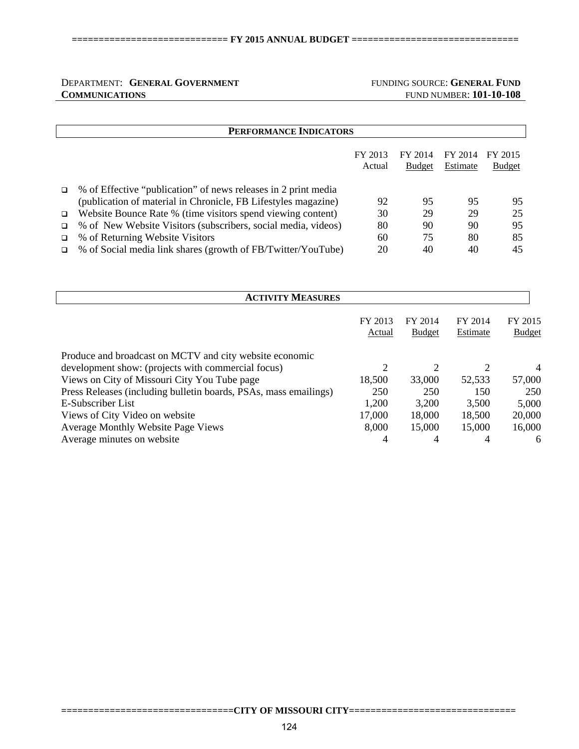### **============================= FY 2015 ANNUAL BUDGET ===============================**

# **DEPARTMENT:** GENERAL GOVERNMENT FUNDING SOURCE: GENERAL FUND<br> **COMMUNICATIONS** FUND NUMBER: 101-10-108

# **COMMUNICATIONS** FUND NUMBER: **101-10-108**

| PERFORMANCE INDICATORS |                                                                |                   |                          |                     |                          |
|------------------------|----------------------------------------------------------------|-------------------|--------------------------|---------------------|--------------------------|
|                        |                                                                | FY 2013<br>Actual | FY 2014<br><b>Budget</b> | FY 2014<br>Estimate | FY 2015<br><b>Budget</b> |
|                        | % of Effective "publication" of news releases in 2 print media |                   |                          |                     |                          |
|                        | (publication of material in Chronicle, FB Lifestyles magazine) | 92                | 95                       | 95                  | 95.                      |
| □                      | Website Bounce Rate % (time visitors spend viewing content)    | 30                | 29                       | 29                  | 25                       |
|                        | % of New Website Visitors (subscribers, social media, videos)  | 80                | 90                       | 90                  | 95                       |
| □                      | % of Returning Website Visitors                                | 60                | 75                       | 80                  | 85                       |
|                        | % of Social media link shares (growth of FB/Twitter/YouTube)   | 20                | 40                       | 40                  | 45                       |

| <b>ACTIVITY MEASURES</b>                                         |                   |                          |                     |                          |  |  |
|------------------------------------------------------------------|-------------------|--------------------------|---------------------|--------------------------|--|--|
|                                                                  | FY 2013<br>Actual | FY 2014<br><b>Budget</b> | FY 2014<br>Estimate | FY 2015<br><b>Budget</b> |  |  |
| Produce and broadcast on MCTV and city website economic          |                   |                          |                     |                          |  |  |
| development show: (projects with commercial focus)               |                   | $\overline{2}$           | 2                   | 4                        |  |  |
| Views on City of Missouri City You Tube page                     | 18,500            | 33,000                   | 52,533              | 57,000                   |  |  |
| Press Releases (including bulletin boards, PSAs, mass emailings) | 250               | 250                      | 150                 | 250                      |  |  |
| E-Subscriber List                                                | 1,200             | 3,200                    | 3,500               | 5,000                    |  |  |
| Views of City Video on website                                   | 17,000            | 18,000                   | 18,500              | 20,000                   |  |  |
| <b>Average Monthly Website Page Views</b>                        | 8,000             | 15,000                   | 15,000              | 16,000                   |  |  |
| Average minutes on website                                       | 4                 | 4                        | 4                   | 6                        |  |  |

### **================================CITY OF MISSOURI CITY===============================**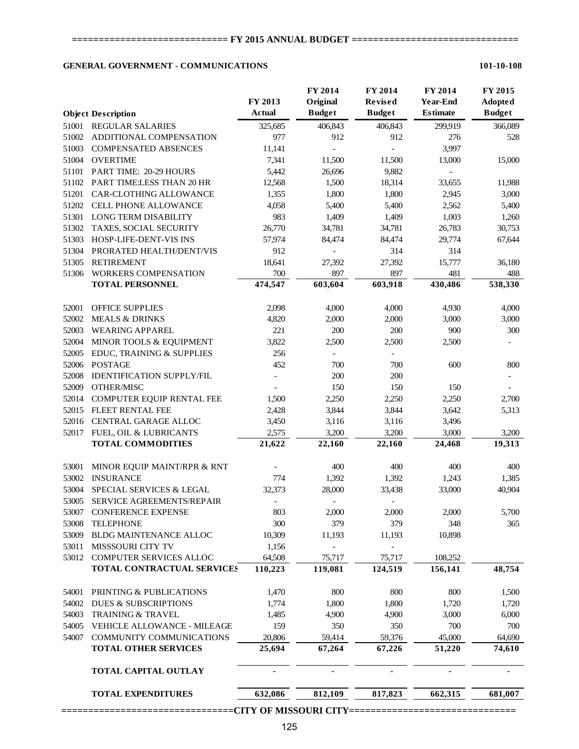### **GENERAL GOVERNMENT - COMMUNICATIONS 101-10-108**

|       | <b>Object Description</b>        | FY 2013<br>Actual | FY 2014<br>Original<br><b>Budget</b> | FY 2014<br><b>Revised</b><br><b>Budget</b> | FY 2014<br>Year-End<br><b>Estimate</b> | FY 2015<br><b>Adopted</b><br><b>Budget</b> |
|-------|----------------------------------|-------------------|--------------------------------------|--------------------------------------------|----------------------------------------|--------------------------------------------|
| 51001 | <b>REGULAR SALARIES</b>          | 325,685           | 406,843                              | 406,843                                    | 299,919                                | 366,089                                    |
| 51002 | ADDITIONAL COMPENSATION          | 977               | 912                                  | 912                                        | 276                                    | 528                                        |
| 51003 | <b>COMPENSATED ABSENCES</b>      | 11,141            | $\overline{\phantom{a}}$             |                                            | 3,997                                  |                                            |
| 51004 | <b>OVERTIME</b>                  | 7,341             | 11,500                               | 11,500                                     | 13,000                                 | 15,000                                     |
| 51101 | PART TIME: 20-29 HOURS           | 5,442             | 26,696                               | 9,882                                      |                                        |                                            |
| 51102 | PART TIME:LESS THAN 20 HR        | 12,568            | 1,500                                | 18,314                                     | 33,655                                 | 11,988                                     |
| 51201 | <b>CAR-CLOTHING ALLOWANCE</b>    | 1,355             | 1,800                                | 1,800                                      | 2,945                                  | 3,000                                      |
| 51202 | CELL PHONE ALLOWANCE             | 4,058             | 5,400                                | 5,400                                      | 2,562                                  | 5,400                                      |
| 51301 | <b>LONG TERM DISABILITY</b>      | 983               | 1,409                                | 1,409                                      | 1,003                                  | 1,260                                      |
| 51302 | TAXES, SOCIAL SECURITY           | 26,770            | 34,781                               | 34,781                                     | 26,783                                 | 30,753                                     |
| 51303 | HOSP-LIFE-DENT-VIS INS           | 57,974            | 84,474                               | 84,474                                     | 29,774                                 | 67,644                                     |
| 51304 | PRORATED HEALTH/DENT/VIS         | 912               | $\overline{a}$                       | 314                                        | 314                                    |                                            |
| 51305 | <b>RETIREMENT</b>                | 18,641            | 27,392                               | 27,392                                     | 15,777                                 | 36,180                                     |
| 51306 | WORKERS COMPENSATION             | 700               | 897                                  | 897                                        | 481                                    | 488                                        |
|       | <b>TOTAL PERSONNEL</b>           | 474,547           | 603,604                              | 603,918                                    | 430,486                                | 538,330                                    |
| 52001 | OFFICE SUPPLIES                  | 2,098             | 4,000                                | 4,000                                      | 4,930                                  | 4,000                                      |
| 52002 | <b>MEALS &amp; DRINKS</b>        | 4,820             | 2,000                                | 2,000                                      | 3,000                                  | 3,000                                      |
| 52003 | <b>WEARING APPAREL</b>           | 221               | 200                                  | 200                                        | 900                                    | 300                                        |
| 52004 | MINOR TOOLS & EQUIPMENT          | 3,822             | 2,500                                | 2,500                                      | 2,500                                  |                                            |
| 52005 | EDUC, TRAINING & SUPPLIES        | 256               |                                      |                                            |                                        |                                            |
| 52006 | <b>POSTAGE</b>                   | 452               | 700                                  | 700                                        | 600                                    | 800                                        |
| 52008 | <b>IDENTIFICATION SUPPLY/FIL</b> |                   | 200                                  | 200                                        |                                        |                                            |
| 52009 | OTHER/MISC                       |                   | 150                                  | 150                                        | 150                                    |                                            |
| 52014 | COMPUTER EQUIP RENTAL FEE        | 1,500             | 2,250                                | 2,250                                      | 2,250                                  | 2,700                                      |
| 52015 | FLEET RENTAL FEE                 | 2,428             | 3,844                                | 3,844                                      | 3,642                                  | 5,313                                      |
| 52016 | CENTRAL GARAGE ALLOC             | 3,450             | 3,116                                | 3,116                                      | 3,496                                  |                                            |
| 52017 | FUEL, OIL & LUBRICANTS           | 2,575             | 3,200                                | 3,200                                      | 3,000                                  | 3,200                                      |
|       | <b>TOTAL COMMODITIES</b>         | 21,622            | 22,160                               | 22,160                                     | 24,468                                 | 19,313                                     |
| 53001 | MINOR EQUIP MAINT/RPR & RNT      |                   | 400                                  | 400                                        | 400                                    | 400                                        |
| 53002 | <b>INSURANCE</b>                 | 774               | 1,392                                | 1,392                                      | 1,243                                  | 1,385                                      |
| 53004 | SPECIAL SERVICES & LEGAL         | 32,373            | 28,000                               | 33,438                                     | 33,000                                 | 40,904                                     |
| 53005 | SERVICE AGREEMENTS/REPAIR        | $\qquad \qquad -$ | $\overline{\phantom{a}}$             |                                            |                                        |                                            |
|       | 53007 CONFERENCE EXPENSE         | 803               | 2,000                                | 2,000                                      | 2,000                                  | 5,700                                      |
| 53008 | <b>TELEPHONE</b>                 | 300               | 379                                  | 379                                        | 348                                    | 365                                        |
| 53009 | BLDG MAINTENANCE ALLOC           | 10,309            | 11,193                               | 11,193                                     | 10,898                                 |                                            |
| 53011 | MISSSOURI CITY TV                | 1,156             |                                      |                                            |                                        |                                            |
| 53012 | COMPUTER SERVICES ALLOC          | 64,508            | 75,717                               | 75,717                                     | 108,252                                |                                            |
|       | TOTAL CONTRACTUAL SERVICES       | 110,223           | 119,081                              | 124,519                                    | 156,141                                | 48,754                                     |
| 54001 | PRINTING & PUBLICATIONS          | 1,470             | 800                                  | 800                                        | 800                                    | 1,500                                      |
| 54002 | <b>DUES &amp; SUBSCRIPTIONS</b>  | 1,774             | 1,800                                | 1,800                                      | 1,720                                  | 1,720                                      |
| 54003 | <b>TRAINING &amp; TRAVEL</b>     | 1,485             | 4,900                                | 4,900                                      | 3,000                                  | 6,000                                      |
| 54005 | VEHICLE ALLOWANCE - MILEAGE      | 159               | 350                                  | 350                                        | 700                                    | 700                                        |
| 54007 | <b>COMMUNITY COMMUNICATIONS</b>  | 20,806            | 59,414                               | 59,376                                     | 45,000                                 | 64,690                                     |
|       | <b>TOTAL OTHER SERVICES</b>      | 25,694            | 67,264                               | 67,226                                     | 51,220                                 | 74,610                                     |
|       | <b>TOTAL CAPITAL OUTLAY</b>      |                   |                                      |                                            |                                        |                                            |
|       | <b>TOTAL EXPENDITURES</b>        | 632,086           | 812,109                              | 817,823                                    | 662,315                                | 681,007                                    |

**================================CITY OF MISSOURI CITY===============================**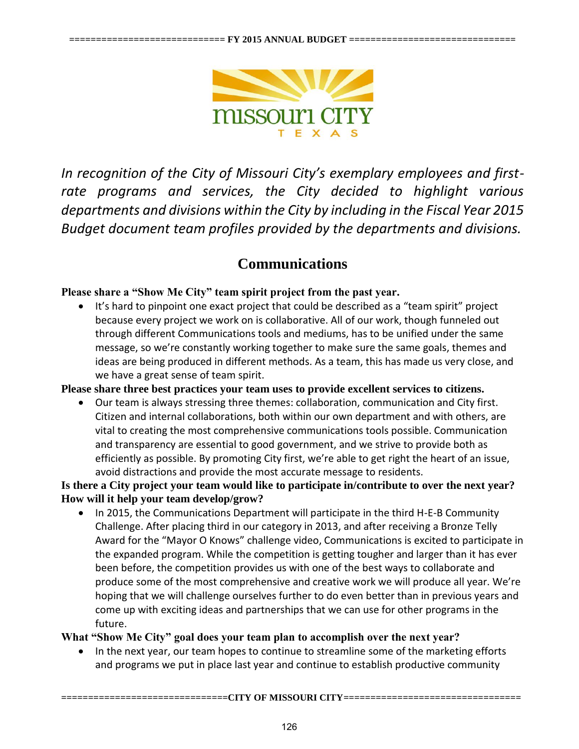

*In recognition of the City of Missouri City's exemplary employees and firstrate programs and services, the City decided to highlight various departments and divisions within the City by including in the Fiscal Year 2015 Budget document team profiles provided by the departments and divisions.* 

# **Communications**

# **Please share a "Show Me City" team spirit project from the past year.**

 It's hard to pinpoint one exact project that could be described as a "team spirit" project because every project we work on is collaborative. All of our work, though funneled out through different Communications tools and mediums, has to be unified under the same message, so we're constantly working together to make sure the same goals, themes and ideas are being produced in different methods. As a team, this has made us very close, and we have a great sense of team spirit.

# **Please share three best practices your team uses to provide excellent services to citizens.**

 Our team is always stressing three themes: collaboration, communication and City first. Citizen and internal collaborations, both within our own department and with others, are vital to creating the most comprehensive communications tools possible. Communication and transparency are essential to good government, and we strive to provide both as efficiently as possible. By promoting City first, we're able to get right the heart of an issue, avoid distractions and provide the most accurate message to residents.

# **Is there a City project your team would like to participate in/contribute to over the next year? How will it help your team develop/grow?**

• In 2015, the Communications Department will participate in the third H-E-B Community Challenge. After placing third in our category in 2013, and after receiving a Bronze Telly Award for the "Mayor O Knows" challenge video, Communications is excited to participate in the expanded program. While the competition is getting tougher and larger than it has ever been before, the competition provides us with one of the best ways to collaborate and produce some of the most comprehensive and creative work we will produce all year. We're hoping that we will challenge ourselves further to do even better than in previous years and come up with exciting ideas and partnerships that we can use for other programs in the future.

# **What "Show Me City" goal does your team plan to accomplish over the next year?**

• In the next year, our team hopes to continue to streamline some of the marketing efforts and programs we put in place last year and continue to establish productive community

**===============================CITY OF MISSOURI CITY=================================**